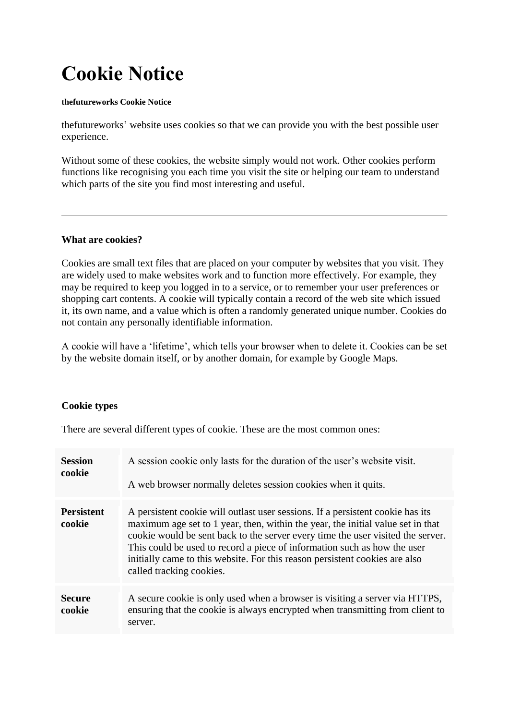# **Cookie Notice**

#### **thefutureworks Cookie Notice**

thefutureworks' website uses cookies so that we can provide you with the best possible user experience.

Without some of these cookies, the website simply would not work. Other cookies perform functions like recognising you each time you visit the site or helping our team to understand which parts of the site you find most interesting and useful.

#### **What are cookies?**

Cookies are small text files that are placed on your computer by websites that you visit. They are widely used to make websites work and to function more effectively. For example, they may be required to keep you logged in to a service, or to remember your user preferences or shopping cart contents. A cookie will typically contain a record of the web site which issued it, its own name, and a value which is often a randomly generated unique number. Cookies do not contain any personally identifiable information.

A cookie will have a 'lifetime', which tells your browser when to delete it. Cookies can be set by the website domain itself, or by another domain, for example by Google Maps.

## **Cookie types**

There are several different types of cookie. These are the most common ones:

| <b>Session</b><br>cookie    | A session cookie only lasts for the duration of the user's website visit.<br>A web browser normally deletes session cookies when it quits.                                                                                                                                                                                                                                                                                                  |  |
|-----------------------------|---------------------------------------------------------------------------------------------------------------------------------------------------------------------------------------------------------------------------------------------------------------------------------------------------------------------------------------------------------------------------------------------------------------------------------------------|--|
| <b>Persistent</b><br>cookie | A persistent cookie will outlast user sessions. If a persistent cookie has its<br>maximum age set to 1 year, then, within the year, the initial value set in that<br>cookie would be sent back to the server every time the user visited the server.<br>This could be used to record a piece of information such as how the user<br>initially came to this website. For this reason persistent cookies are also<br>called tracking cookies. |  |
| <b>Secure</b><br>cookie     | A secure cookie is only used when a browser is visiting a server via HTTPS,<br>ensuring that the cookie is always encrypted when transmitting from client to<br>server.                                                                                                                                                                                                                                                                     |  |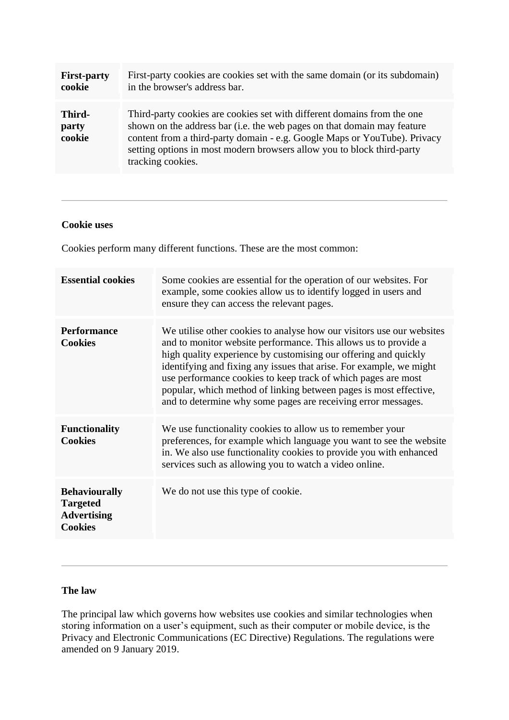| <b>First-party</b>        | First-party cookies are cookies set with the same domain (or its subdomain)                                                                                                                                                                                                                                                    |
|---------------------------|--------------------------------------------------------------------------------------------------------------------------------------------------------------------------------------------------------------------------------------------------------------------------------------------------------------------------------|
| cookie                    | in the browser's address bar.                                                                                                                                                                                                                                                                                                  |
| Third-<br>party<br>cookie | Third-party cookies are cookies set with different domains from the one<br>shown on the address bar (i.e. the web pages on that domain may feature<br>content from a third-party domain - e.g. Google Maps or YouTube). Privacy<br>setting options in most modern browsers allow you to block third-party<br>tracking cookies. |

#### **Cookie uses**

Cookies perform many different functions. These are the most common:

| <b>Essential cookies</b>                                                        | Some cookies are essential for the operation of our websites. For<br>example, some cookies allow us to identify logged in users and<br>ensure they can access the relevant pages.                                                                                                                                                                                                                                                                                                         |
|---------------------------------------------------------------------------------|-------------------------------------------------------------------------------------------------------------------------------------------------------------------------------------------------------------------------------------------------------------------------------------------------------------------------------------------------------------------------------------------------------------------------------------------------------------------------------------------|
| <b>Performance</b><br><b>Cookies</b>                                            | We utilise other cookies to analyse how our visitors use our websites<br>and to monitor website performance. This allows us to provide a<br>high quality experience by customising our offering and quickly<br>identifying and fixing any issues that arise. For example, we might<br>use performance cookies to keep track of which pages are most<br>popular, which method of linking between pages is most effective,<br>and to determine why some pages are receiving error messages. |
| <b>Functionality</b><br><b>Cookies</b>                                          | We use functionality cookies to allow us to remember your<br>preferences, for example which language you want to see the website<br>in. We also use functionality cookies to provide you with enhanced<br>services such as allowing you to watch a video online.                                                                                                                                                                                                                          |
| <b>Behaviourally</b><br><b>Targeted</b><br><b>Advertising</b><br><b>Cookies</b> | We do not use this type of cookie.                                                                                                                                                                                                                                                                                                                                                                                                                                                        |

#### **The law**

The principal law which governs how websites use cookies and similar technologies when storing information on a user's equipment, such as their computer or mobile device, is the Privacy and Electronic Communications (EC Directive) Regulations. The regulations were amended on 9 January 2019.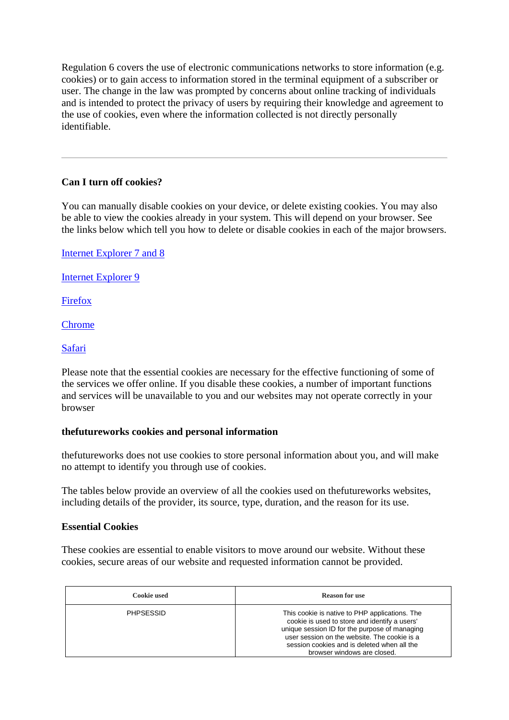Regulation 6 covers the use of electronic communications networks to store information (e.g. cookies) or to gain access to information stored in the terminal equipment of a subscriber or user. The change in the law was prompted by concerns about online tracking of individuals and is intended to protect the privacy of users by requiring their knowledge and agreement to the use of cookies, even where the information collected is not directly personally identifiable.

# **Can I turn off cookies?**

You can manually disable cookies on your device, or delete existing cookies. You may also be able to view the cookies already in your system. This will depend on your browser. See the links below which tell you how to delete or disable cookies in each of the major browsers.

[Internet Explorer 7 and 8](http://windows.microsoft.com/en-us/windows-vista/block-or-allow-cookies)

[Internet Explorer 9](http://windows.microsoft.com/en-US/windows7/How-to-manage-cookies-in-Internet-Explorer-9)

[Firefox](http://support.mozilla.org/en-US/kb/Enabling%20and%20disabling%20cookies)

[Chrome](http://support.google.com/chrome/bin/answer.py?hl=en&answer=95647&p=cpn_cookies)

[Safari](http://docs.info.apple.com/article.html?path=safari/3.0/en/9277.html)

Please note that the essential cookies are necessary for the effective functioning of some of the services we offer online. If you disable these cookies, a number of important functions and services will be unavailable to you and our websites may not operate correctly in your browser

## **thefutureworks cookies and personal information**

thefutureworks does not use cookies to store personal information about you, and will make no attempt to identify you through use of cookies.

The tables below provide an overview of all the cookies used on thefutureworks websites, including details of the provider, its source, type, duration, and the reason for its use.

## **Essential Cookies**

These cookies are essential to enable visitors to move around our website. Without these cookies, secure areas of our website and requested information cannot be provided.

| Cookie used      | <b>Reason for use</b>                                                                                                                                                                                                                                                          |
|------------------|--------------------------------------------------------------------------------------------------------------------------------------------------------------------------------------------------------------------------------------------------------------------------------|
| <b>PHPSESSID</b> | This cookie is native to PHP applications. The<br>cookie is used to store and identify a users'<br>unique session ID for the purpose of managing<br>user session on the website. The cookie is a<br>session cookies and is deleted when all the<br>browser windows are closed. |